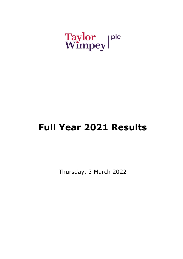# Taylor plc<br>Wimpey

# **Full Year 2021 Results**

Thursday, 3 March 2022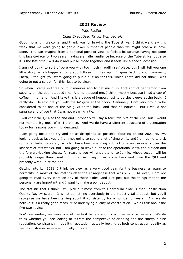### **2021 Review**

#### Pete Redfern

#### *Chief Executive, Taylor Wimpey plc*

Good morning. Welcome, and thank you for braving the Tube strike. I think we knew this week that we were going to get a lower number of people than we might otherwise have done. You can imagine from a personal point of view, it feels a bit strange having not done this face-to-face for two years, having a smaller audience because of the Tube strike, but also it is the last time I will do it and put all those together and it feels like a special occasion.

I am not going to sort of bore you with too much maudlin self piece, but I will tell you one little story, which happened only about three minutes ago. It goes back to your comment, Faeth, I thought you were going to put a suit on for this, which Faeth did not think I was going to put a suit on for this, just to be clear.

So when I came in three or four minutes ago to get mic'd up, that sort of gentleman from security on the door stopped me. And he stopped me, I think, mostly because I had a cup of coffee in my hand. And I take this is a badge of honour, just to be clear, guys at the back. I really do. He said are you with the AV guys at the back? Genuinely, I am very proud to be considered to be one of the AV guys at the back, and that he noticed. But I would not surprise any of you that I was not wearing a tie.

I will chair the Q&A at the end and I probably will say a few little bits at the end, but I would not make a big meal of it, I promise. And we do have a different structure of presentation today for reasons you will understand.

I am going focus and try and be as disciplined as possible, focusing on our 2021 review, looking back at last year. I am not going to spend a lot of time on it, and I am going to pick up particularly fire safety, which I have been spending a lot of time on personally over the last sort of few weeks, but I am going to leave a lot of the operational view, the outlook and the forward-looking pieces, for reasons you will understand, to Jennie, whose section will be probably longer than usual. But then as I say, I will come back and chair the Q&A and probably wrap up at the end.

Getting into it. 2021, I think we view as a very good year for the business, a return to normality in most of the metrics after the strangeness that was 2020. As ever, I am not going to read every word on any of these slides, and just pick out the things that to me personally are important and I want to make a point about.

The statistic that I think I will pick out most from this particular slide is that Construction Quality Review score. It is not something everybody in the industry talks about, but you'll recognise we have been talking about it consistently for a number of years. And we do believe it is a really good measure of underlying quality of construction. We all talk about the five-star review.

You'll remember, we were one of the first to talk about customer service reviews. We do think whether you are looking at it from the perspective of cladding and fire safety, future regulation, consistency in quality, reputation, actually looking at both construction quality as well as customer service is critically important.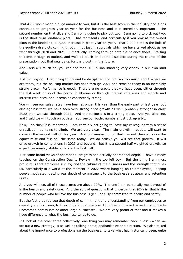That 4.67 won't mean a huge amount to you, but it is the best score in the industry and it has continued to progress year-on-year for the business and it is incredibly important. The second number on that slide and I am only going to pick out two. I am going to pick out two, is the short term landbank plots. That represents, and particularly if you look at the owned plots in the landbank, a 9,000 increase in plots year-on-year. That 9,000 plots is the bulk of the equity raise plots coming through, not just in approvals which we have talked about as we went through 2020 and 2021. But actually, coming through onto the balance sheet. Starting to come through in outlets, and we'll all touch on outlets I suspect during the course of the presentation, but that sets us up for the growth in the future.

And Chris will touch on, you can see that £0.5 billion standing very clearly in our own land value.

Just moving on. I am going to try and be disciplined and not talk too much about where we are today, but the housing market has been through 2021 and remains today in an incredibly strong place. Performance is good. There are no cracks that we have seen, either through the last week or so of the horror in Ukraine or through interest rate rises and signals and interest rate rises, and it remains consistently strong.

You will see our sales rates have been stronger this year than the early part of last year, but also against that, we have seen very strong price growth as well, probably stronger in early 2022 than we saw through 2021. And the business is in a strong place. And you also see, and I said we will touch on outlets. You see our outlet numbers just tick up a bit.

Now, I do think it is important. I am certainly not going to leave my colleagues with a set of unrealistic mountains to climb. We are very clear. The main growth in outlets will start to come in the second half of this year. And our messaging on that has not changed since the equity raise and it is still the same today. We do believe you will see that growth. It will drive growth in completions in 2023 and beyond. But it is a second half weighted growth, so expect reasonably stable outlets in the first half.

Just some broad views of operational progress and actually operational depth. I have already touched on the Construction Quality Review in the top left box. But the thing I am most proud of is that employee survey, and the culture of the business and the strength that gives us, particularly in a world at the moment in 2022 where hanging on to employees, keeping people motivated, getting real depth of commitment to the business's strategy and retention is key.

And you will see, all of those scores are above 90%. The one I am personally most proud of is the health and safety one. And the sort of questions that underpin that 97% is, that is the number of people who believe the business is genuine fully committed to health and safety.

But the fact that you see that depth of commitment and understanding from our employees to diversity and inclusion, to their pride in the business, I think is unique in the sector and pretty uncommon across lots of other large businesses. We are very proud of that and it makes a huge difference to what the business tends to do.

If I look at the other three collectively, one thing you may remember back in 2018 when we set out a new strategy, is as well as talking about landbank size and direction. We also talked about the importance to professionalise the business, to take what had historically been, quite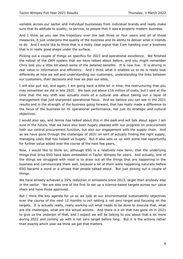variable across our sector and individual businesses from individual brands and really make sure that its attitude to quality, to service, to people that it was a properly modern business.

And I think as you see the trajectory over the last three or four years and all of those measures, it just underpins the quality of the business and its ability to deliver what it intends to do. And I would like to think that is a really clear signal that I am handing over a business that is in really good shape under the surface.

Picking out a couple of things on specifics for 2021 and operational excellence. We finished the rollout of the CRM system that we have talked about before, and you might remember Chris told you a little bit about some of the detailed benefits. It is now live. It is driving in real value in information and efficiency. And I think what it enables us to do is really look differently at how we sell and understanding our customers, understanding the links between our customers, their decisions and how we plan our sites.

I will also pull out, and again, I am going back a little bit in time, the restructuring that you may remember we did in late 2020. We took out about  $£16$  million of costs, but I said at the time that the key shift was actually more of a cultural one about taking out a layer of management that just sharpened operational focus. And we believe you can see in the 2021 results and in the strength of the business going forward, that has really made a difference to the focus of the business on its operational performance, not just its strategic and cultural objectives.

I would also say, and Jennie has talked about this in the past and will talk about again I am sure in the future, that we have also been hugely pleased with our progress on procurement both our central procurement function, but also our engagement with the supply chain. And as we have gone through the challenges of 2021 on sort of actually finding the right supply, managing costs that has helped us hugely. But it also sets us up with some real opportunity for further value added over the course of the next few years.

Now, I would like to think on, although ESG is a relatively new term, that the underlying things that drive ESG have been embedded in Taylor Wimpey for years. And actually, one of the things we struggled with most is to draw out all the things that are happening in the business and communicate them well, because a lot of them were happening naturally before ESG became a word or a phrase that people talked about. But just picking out a couple of things.

We have already achieved a 35% reduction in emissions since 2013, larger than anybody else in the sector. We are also one of the first to set up a science-based targets across our value chain and have those approved.

But I think the key agenda for us as we look at our environmental sustainability objectives over the course of the next 12 months is not setting a net zero target and focusing on the targets. It is actually really, really working out what needs to be done to execute that, what are the challenges, what are the actual actions. And there is a lot that has gone on in 2021 to give us the underpin of that, and I expect we will be talking to you about that a lot more during 2022 and coming up with a net zero target before long. But it is the actions rather than exactly which year we think we get that matters.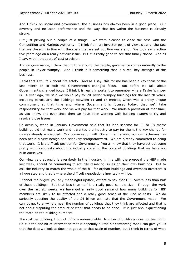And I think on social and governance, the business has always been in a good place. Our diversity and inclusion performance and the way that fits within the business is already strong.

But just picking out a couple of a things. We were pleased to close the case with the Competition and Markets Authority. I think from an investor point of view, clearly, the fact that we closed it in line with the costs that we set out five years ago. We took early action five years ago on a really difficult issue. But it is really good to see that finally closed. And as I say, within that sort of cost provision.

And on governance, I think that culture around the people, governance comes naturally to the people in Taylor Wimpey. And I think it is something that is a real key strength of the business.

I said that I will talk about fire safety. And as I say, this for me has been a key focus of the last month or so with the Government's changed focus. But before we talk about Government's changed focus, I think it is really important to remember where Taylor Wimpey is. A year ago, we said we would pay for all Taylor Wimpey buildings for the last 20 years, including particularly the buildings between 11 and 18 metres, which was a pretty unique commitment at that time and where Government is focused today, that we'll take responsibility for that work and we will pay for that work. We made a provision at that time, as you know, and ever since then we have been working with building owners to try and resolve those issues.

So actually, when in January Government said that its loan scheme for 11 to 18 metre buildings did not really work and it wanted the industry to pay for them, the key change for us was already embedded. Our conversation with Government around our own schemes has been actually very benign and relatively straightforward. We are already committed to doing that work. It is a difficult position for Government. You all know that they have set out some pretty significant asks about the industry covering the costs of buildings that we have not built ourselves.

Our view very strongly is everybody in the industry, in line with the proposal the HBF made last week, should be committing to actually resolving issues on their own buildings. But to ask the industry to match the whole of the bill for orphan buildings and overseas investors is a huge step and that is where the difficult negotiations inevitably will be.

I cannot really give you any meaningful update, except to say that HBF covers less than half of these buildings. But that less than half is a really good sample size. Through the work over the last six weeks, we have got a really good sense of how many buildings for HBF members are likely to be affected and a really good sense of the kind of costs. We do seriously question the quality of the  $E4$  billion estimate that the Government made. We cannot get to anywhere near the number of buildings that they think are affected and that is not about disputing the amount of work that needs to be done. It is just about questioning the math on the building numbers.

The cost per building, I do not think is unreasonable. Number of buildings does not feel right. So it is the one bit of information that is hopefully a little bit comforting that I can give you is that the data we look at does not get us to that scale of number, but I think in terms of what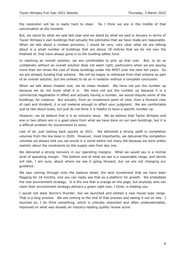the resolution will be is really hard to steer. So I think we are in the middle of that conversation at the moment.

But, we stand by what we said last year and we stand by what we said in January in terms of Taylor Wimpey's own buildings that actually the estimates that we have made are reasonable. When we talk about a modest provision, I would be very, very clear what we are talking about is a small number of buildings that are above 18 metres that we do not own the freehold of, that have always gone in to the building safety fund.

In reaching an overall solution, we are comfortable to pick up that cost. But, to do so unilaterally without an overall solution does not seem right, particularly when we are paying more than ten times the cost of those buildings under the RPDT over the next ten years. So we are already funding that scheme. We will be happy to withdraw from that scheme as part of an overall solution, but are unlikely to do so in isolation without a complete conclusion.

When we talk about modest cost, we do mean modest. We have not put the number up because we do not know what it is. We have not put the number up because it is a commercial negotiation in effect and actually having a number, we would dispute some of the buildings, for instance. But actually, from an investment point of view, from a forward view of cash and dividend, it is not material enough to affect your judgment. We are comfortable just to talk about scale, but just do not think it is helpful to have a specific number up.

However, we do believe that it is an industry issue. We do believe that Taylor Wimpey and one or two others are in a good place from what we have done on our own buildings, but it is a difficult problem for Government to solve.

Last of all, just looking back quickly at 2021. We delivered a strong uplift in completion volumes from the low base in 2020. However, most importantly, we delivered the completion volumes we always told you we would in a world where not many did because we were pretty realistic about the constraints on the supply side from day one.

We delivered a strong recovery in our operating margins. What we would say is a normal level of operating margin. The bottom end of what we see is a reasonable range, and Jennie will talk, I am sure, about where we see it going forward, but we are not changing our guidance.

We saw coming through onto the balance sheet, the land investment that we have been flagging for 18 months, and you can really see that as a platform for growth. We embedded the new environment strategy. It is the one that is orange on the page, but anybody who can claim their environment strategy delivers a green right now, I think, is kidding you.

I would not steal Jennie's thunder, but we launched and piloted a new house type range. That is a long process. We are coming to the end of that process and seeing it out on site. I touched on, I do think something, which is critically important and often underestimated, improved on what was already an industry-leading quality review score.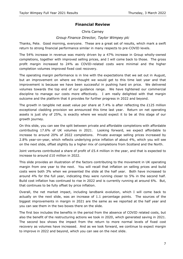# **Financial Review**

#### Chris Carney

#### *Group Finance Director, Taylor Wimpey plc*

Thanks, Pete. Good morning, everyone. These are a great set of results, which mark a swift return to strong financial performance similar in many respects to pre-COVID levels.

The 54% increase in revenue was mainly driven by a 47% increase in Group wholly-owned completions, together with improved selling prices, and I will come back to those. The gross profit margin increased to 24% as COVID-related costs were minimal and the higher completion volumes improved fixed cost recovery.

The operating margin performance is in line with the expectations that we set out in August, but an improvement on where we thought we would get to this time last year and that improvement is because we have been successful in pushing hard on price. We delivered volumes towards the top end of our guidance range. We have tightened our commercial discipline to manage our costs more effectively. I am really delighted with that margin outcome and the platform that it provides for further progress in 2022 and beyond.

The growth in tangible net asset value per share at 7.4% is after reflecting the £125 million exceptional cladding provision we announced this time last year. Return on net operating assets is just shy of 25%, is exactly where we would expect it to be at this stage of our growth journey.

On this slide, you can see the split between private and affordable completions with affordable contributing 17.6% of UK volumes in 2021. Looking forward, we expect affordable to increase to around 20% of 2022 completions. Private average selling prices increased by 2.8% year-on-year, which reflects underlying price inflation of about 4%, which you will see on the next slide, offset slightly by a higher mix of completions from Scotland and the North.

Joint ventures contributed a share of profit of  $£5.4$  million in the year, and that is expected to increase to around £10 million in 2022.

This slide provides an illustration of the factors contributing to the movement in UK operating margin from one year to the next. You will recall that inflation on selling prices and build costs were both 3% when we presented the slide at the half year. Both have increased to around 4% for the full year, indicating they were running closer to 5% in the second half. Build cost inflation has continued to rise in 2022 and is currently running at around 6%. But, that continues to be fully offset by price inflation.

Overall, the net market impact, including landbank evolution, which I will come back to actually on the next slide, was an increase of 1.1 percentage points. The sources of the biggest improvements in margin in 2021 are the same as we reported at the half year and you can see them in the two boxes there on the slide.

The first box includes the benefits in the period from the absence of COVID related costs, but also the benefit of the restructuring actions we took in 2020, which generated saving in 2021. The second box shows the impact from the return to more normal levels of fixed cost recovery as volumes have increased. And as we look forward, we continue to expect margin to improve in 2022 and beyond, which you can see on the next slide.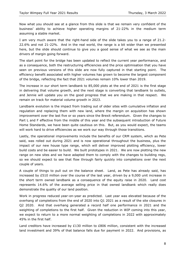Now what you should see at a glance from this slide is that we remain very confident of the business' ability to achieve higher operating margins of 21-22% in the medium term assuming a stable market.

I am very much aware that the right-hand side of the slide takes you to a range of 21.2- 22.6% and not 21-22%. And in the real world, the range is a bit wider than we presented here, but the slide should continue to give you a good sense of what we see as the main drivers of margin going forward.

The start point for the bridge has been updated to reflect the current year performance, and as a consequence, both the restructuring efficiencies and the price optimisation that you have seen on previous versions of this slide are now fully captured in that starting point. The efficiency benefit associated with higher volumes has grown to become the largest component of the bridge, reflecting the fact that 2021 volumes remain 10% lower than 2019.

The increase in our short term landbank to 85,000 plots at the end of 2021 is the first stage in delivering that volume growth, and the next stage is converting that landbank to outlets, and Jennie will update you on the good progress that we are making in that respect. We remain on track for material volume growth in 2023.

Landbank evolution is the impact from trading out of older sites with cumulative inflation and regulation and replacing them with new land, where the margin on acquisition has shown improvement over the last five or so years since the Brexit referendum. Given the changes to Part L and F effective from the middle of this year and the subsequent introduction of Future Home Standards, we have been quite cautious on this. But, as you would expect, the teams will work hard to drive efficiencies as we work our way through those transitions.

Lastly, the operational improvements include the benefits of our CRM system, which as Pete said, was rolled out during 2021 and is now operational throughout the business, plus the impact of our new house type range, which will deliver improved plotting efficiency, lower build costs and be easier to build. We built prototypes in 2021. We are now plotting the new range on new sites and we have adapted them to comply with the changes to building regs, so we should expect to see that flow through fairly quickly into completions over the next couple of years.

A couple of things to pull out on the balance sheet. Land, as Pete has already said, has increased by £510 million over the course of the last year, driven by a 9,000 unit increase in the short term owned landbank as a consequence of the equity raise in 2020. Land cost represents 14.6% of the average selling price in that owned landbank which really does demonstrate the quality of our land position.

Work in progress reduced year-on-year as predicted. Last year was elevated because of the overhang of completions from the end of 2020 into Q1 2021 as a result of the site closures in Q2 2020. And that overhang generated a record half one performance in 2021 and the weighting of completions to the first half. Given the reduction in WIP coming into this year, we expect to return to a more normal weighting of completions in 2022 with approximately 45% in the first half.

Land creditors have increased by £130 million to £806 million, consistent with the increased land investment and 39% of that balance falls due for payment in 2022. And provisions, as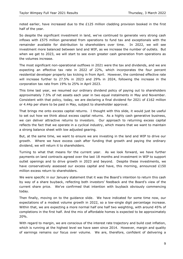noted earlier, have increased due to the  $E125$  million cladding provision booked in the first half of the year.

So despite the significant investment in land, we've continued to generate very strong cash inflows with £575 million generated from operations to fund tax and exceptionals with the remainder available for distribution to shareholders over time. In 2022, we will see investment more balanced between land and WIP, as we increase the number of outlets. But when we get to 2023, we will start to see even greater cash generation from operations as the volumes increase.

The most significant non-operational outflows in 2021 were the tax and dividends, and we are expecting an effective tax rate in 2022 of 22%, which incorporates the four percent residential developer property tax kicking in from April. However, the combined effective rate will increase further to 27.5% in 2023 and 29% in 2024, following the increase in the corporation tax rate from 19% to 25% in April 2023.

This time last year, we resumed our ordinary dividend policy of paying out to shareholders approximately 7.5% of net assets each year in two equal instalments in May and November. Consistent with that policy, today, we are declaring a final dividend for 2021 of £162 million or 4.44p per share to be paid in May, subject to shareholder approval.

That brings me onto excess capital returns. I thought with this slide, it would just be useful to set out how we think about excess capital returns. As a highly cash generative business, we can deliver attractive returns to investors. Our approach to returning excess capital reflects the fact that we operate in a cyclical industry, which means that we want to maintain a strong balance sheet with low adjusted gearing.

But, at the same time, we want to ensure we are investing in the land and WIP to drive our growth. Where we have excess cash after funding that growth and paying the ordinary dividend, we will return it to shareholders.

Turning to what that means for the current year. As we look forward, we have further payments on land contracts agreed over the last 18 months and investment in WIP to support outlet openings and to drive growth in 2023 and beyond. Despite these investments, we have conservatively assessed our excess capital and have, this morning, announced  $£150$ million excess return to shareholders.

We were specific in our January statement that it was the Board's intention to return this cash by way of a share buyback, reflecting both investors' feedback and the Board's view of the current share price. We've confirmed that intention with buyback obviously commencing today.

Then finally, moving on to the guidance slide. We have indicated for some time now, our expectations of a modest volume growth in 2022, so a low-single digit percentage increase. Within that, we are expecting a more normal half one half two weighting, with around 45% of completions in the first half. And the mix of affordable homes is expected to be approximately 20%.

With regard to margin, we are conscious of the interest rate trajectory and build cost inflation, which is running at the highest level we have seen since 2014. However, margin and quality of earnings remains our focus over volume. We are, therefore, confident of delivering a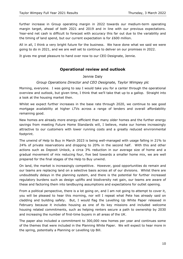further increase in Group operating margin in 2022 towards our medium-term operating margin target, ahead of both 2021 and 2019 and in line with our previous expectations. Year-end net cash is difficult to forecast with accuracy this far out due to the variability and the timing of land spend, but our current expectation is for £600 million.

All in all, I think a very bright future for the business. We have done what we said we were going to do in 2021, and we are well set to continue to deliver on our promises in 2022.

It gives me great pleasure to hand over now to our CEO Designate, Jennie.

# **Operational review and outlook**

#### Jennie Daly

#### *Group Operations Director and CEO Designate, Taylor Wimpey plc*

Morning, everyone. I was going to say I would take you for a canter through the operational overview and outlook, but given time, I think that we'll take that up to a gallop. Straight into a look at the housing market then.

Whilst we expect further increases in the base rate through 2020, we continue to see good mortgage availability at higher LTVs across a range of lenders and overall affordability remaining good.

New homes are already more energy-efficient than many older homes and the further energy savings from meeting Future Home Standards will, I believe, make our homes increasingly attractive to our customers with lower running costs and a greatly reduced environmental footprint.

The unwind of Help to Buy in March 2023 is being well-managed with usage falling in 21% to 24% of private reservations and dropping to 20% in the second half. With this and other actions such as Deposit Unlock, a circa 3% reduction in our average size of home and a gradual movement of mix reducing four, five bed towards a smaller home mix, we are well prepared for the final stages of the Help to Buy unwind.

On land, the market is increasingly competitive. However, good opportunities do remain and our teams are replacing land on a selective basis across all of our divisions. Whilst there are undoubtedly delays in the planning system, and there is the potential for further increased regulatory burdens such as design uplifts and biodiversity net gain, our teams are aware of these and factoring them into landbuying assumptions and expectations for outlet opening.

From a political perspective, there is a lot going on, and I am not going to attempt to cover it, you will be pleased to hear this morning, nor will I repeat what Pete has already said on cladding and building safety. But, I would flag the Levelling Up White Paper released in February because it includes housing as one of its key missions and included welcome housing related commitments, such as helping renters secure a path to ownership by 2030 and increasing the number of first-time buyers in all areas of the UK.

The paper also included a commitment to 300,000 new homes per year and continues some of the themes that were included in the Planning White Paper. We will expect to hear more in the spring, potentially a Planning or Levelling Up Bill.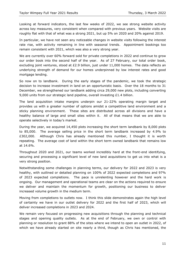Looking at forward indicators, the last few weeks of 2022, we see strong website activity across key measures, very consistent when compared with previous years. Website visits are roughly flat with that of what was a strong 2021, but up 5% on 2020 and 20% against 2019.

In particular, we have not seen any noticeable changes in website visits following the interest rate rise, with activity remaining in line with seasonal trends. Appointment bookings too remain consistent with 2021, which was also a very strong year.

We are currently over 60% forward sold for private completions in 2022 and continue to grow our order book into the second half of the year. As of 27 February, our total order book, excluding joint ventures, stood at £2.9 billion, just under 11,000 homes. The data reflects an underlying strength of demand for our homes underpinned by low interest rates and good mortgage lending.

So now on to landbank. During the early stages of the pandemic, we took the strategic decision to increase investment in land on an opportunistic basis. Over the 18 months to 31 December, we strengthened our landbank adding circa 29,000 new plots, including converting 9,000 units from our strategic land pipeline, overall investing £1.4 billion.

The land acquisition intake margins underpin our 21-22% operating margin target and provides us with a greater number of options amidst a competitive land environment and a sticky planning environment. These sites are distributed across all divisions and have a healthy balance of large and small sites within it. All of that means that we are able to operate selectively in today's market.

During the year, we acquired 14,450 plots increasing the short term landbank by 8,000 plots to 85,000. The average selling price in the short term landbank increased by 4.9% to £302,000. Although Chris has already mentioned this number, I thought it is worth repeating. The average cost of land within the short term owned landbank that remains low at 14.6%.

Throughout 2020 and 2021, our teams worked incredibly hard at the front-end identifying, securing and processing a significant level of new land acquisitions to get us into what is a very strong position.

Notwithstanding some challenges in planning terms, our delivery for 2022 and 2023 is very healthy, with outlined or detailed planning on 100% of 2022 expected completions and 97% of 2023 expected completions. The pace is unrelenting however and the hard work is ongoing. Our management and operational teams are clear on the actions required to ensure we deliver and maintain the momentum for growth, positioning our business to deliver increased volume growth in the medium term.

Moving from completions to outlets now. I think this slide demonstrates again the high level of certainty we have in our outlet delivery for 2022 and the first half of 2023, which will deliver increased completions in 2023 and 2024.

We remain very focused on progressing new acquisitions through the planning and technical stages and opening quality outlets. As at the end of February, we own or control with planning or resolution to grant 88% of the sites where we intend to open an outlet in 2022, of which we have already started on site nearly a third, though as Chris has mentioned, the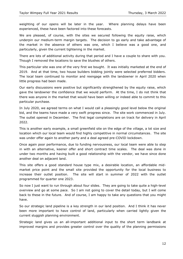weighting of our opens will be later in the year. Where planning delays have been experienced, these have been factored into these forecasts.

We are pleased, of course, with the sites we secured following the equity raise, which underpin our medium-term margin targets. The decision to go early and take advantage of the market in the absence of others was one, which I believe was a good one, and particularly, given the current tightening in the market.

There are lots of additional activity during that period and I have a couple to share with you. Though I removed the locations to save the blushes of others.

This particular site was one of the very first we bought. It was initially marketed at the end of 2019. And at that time, two house builders bidding jointly were selected preferred bidders. The local team continued to monitor and reengage with the landowner in April 2020 when little progress had been made.

Our early discussions were positive but significantly strengthened by the equity raise, which gave the landowner the confidence that we would perform. At the time, I do not think that there was anyone in the market that would have been willing or indeed able to commit to this particular purchase.

In July 2020, we agreed terms on what I would call a pleasingly good level below the original bid, and the teams have made a very swift progress since. The site work commenced in July. The outlet opened in December. The first legal completions are on track for delivery in April 2022.

This is another early example, a small greenfield site on the edge of the village, a lot size and location which our local team would find highly competitive in normal circumstances. The site was under offer again to another party and a deal agreed pre-COVID lockdown.

Once again poor performance, due to funding nervousness, our local team were able to step in with an alternative, keener offer and short contract time scales. The deal was done in under two months and having built a good relationship with the vendor, we have since done another deal on adjacent land.

This site offers a good standard house type mix, a desirable location, an affordable midmarket price point and the small site provided the opportunity for the local business to increase their outlet position. The site will start in summer of 2022 with the outlet programmed for quarter one 2023.

So now I just want to run through about four slides. They are going to take quite a high-level overview and go at some pace. So I am not going to cover the detail today, but I will come back to these in the future. And of course, I am happy to take any questions that you might have.

So our strategic land pipeline is a key strength in our land position. And I think it has never been more important to have control of land, particularly when carried lightly given the current sluggish planning environment.

Strategic land gives us an all-important additional input to the short term landbank at improved margins and provides greater control over the quality of the planning permissions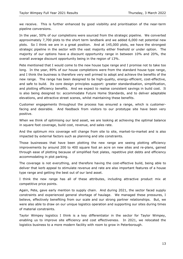we receive. This is further enhanced by good visibility and prioritisation of the near-term pipeline conversions.

In the year, 50% of our completions were sourced from the strategic pipeline. We converted approximately 7,700 plots to the short term landbank and we added 6,000 net potential new plots. So I think we are in a great position. And at 145,000 plots, we have the strongest strategic pipeline in the sector with the vast majority either freehold or under option. The majority of our options have a discount opportunity range in between 10% and 20%, the overall average discount opportunity being in the region of 13%.

Pete mentioned that I would come to the new house type range and I promise not to take too long. In the year, 89% of our house completions were from the standard house type range, and I think the business is therefore very well primed to adopt and achieve the benefits of the new range. The range has been designed to be high-quality, energy-efficient, cost-effective, and safe to build. Its core design principles support: greater standardisation, simplification, and plotting efficiency benefits. And we expect to realise consistent savings in build cost. It is also being designed to: accommodate Future Home Standards, and to deliver adaptable elevations, and attractive street scenes, whilst maintaining these benefits.

Customer engagements throughout the process has ensured a range, which is customerfacing and desirable. And feedback from visitors to our prototype site have been very positive.

When we think of optimising our land asset, we are looking at achieving the optimal balance in square foot coverage, build cost, revenue, and sales rate.

And the optimum mix coverage will change from site to site, market-to-market and is also impacted by external factors such as planning and site constraints.

Those businesses that have been plotting the new range are seeing plotting efficiency improvements by around 200 to 400 square foot an acre on new sites and re-plans, gained through ease of plotting because of simplified foot plates, repetitive plot debts and efficiency accommodating in plot parking.

The coverage is not everything, and therefore having the cost-effective build, being able to deliver that kerb appeal to stimulate revenue and rate are also important features of a house type range and getting the best out of our land asset.

I think the new range has all of these attributes, including attractive product mix at competitive price points.

Again, Pete, gave early mention to supply chain. And during 2021, the sector faced supply constraints and experienced general shortage of haulage. We managed these pressures, I believe, effectively benefiting from our scale and our strong partner relationships. But, we were also able to draw on our unique logistics operation and supporting our sites during times of material constraints.

Taylor Wimpey logistics I think is a key differentiator in the sector for Taylor Wimpey, enabling us to improve site efficiency and cost effectiveness. In 2021, we relocated the logistics business to a more modern facility with room to grow in Peterborough.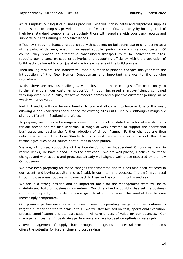At its simplest, our logistics business procures, receives, consolidates and dispatches supplies to our sites. In doing so, provides a number of wider benefits. Certainty by holding stock of high level standard components, particularly those with suppliers with poor track records and supports our sites during supply fluctuations.

Efficiency through enhanced relationships with suppliers on bulk purchase pricing, acting as a single point of delivery, ensuring increased supplier performance and reduced costs. Of course, they provide an alternative consolidated transport route for deliveries to sites, reducing our reliance on supplier deliveries and supporting efficiency with the preparation of build packs delivered to site, just-in-time for each stage of the build process.

Then looking forward, the industry will face a number of planned changes this year with the introduction of the New Homes Ombudsman and important changes to the building regulations.

Whilst there are obvious challenges, we believe that these changes offer opportunity to further strengthen our customer proposition through increased energy-efficiency combined with improved build quality, attractive modern homes and a positive customer journey, all of which will drive value.

Part L, F and O will now be very familiar to you and all come into force in June of this year, allowing a one-year transitional period for existing sites until June '23, although timings are slightly different in Scotland and Wales.

To prepare, we conducted a range of research and trials to update the technical specifications for our homes and we also undertook a range of work streams to support the operational businesses and easing the further adoption of timber frame. Further changes are then anticipated in the Future Home Standards in 2025 and we are undertaking trials of alternative technologies such as air source heat pumps in anticipation.

We are, of course, supportive of the introduction of an independent Ombudsman and in recent weeks, we have signed up to the new code. We are well placed, I believe, for these changes and with actions and processes already well aligned with those expected by the new Ombudsman.

We have been preparing for these changes for some time and this has also been reflected in our recent land buying activity, and as I said, in our internal processes. I know I have raced through those areas, but we will come back to them in the coming months and year.

We are in a strong position and an important focus for the management team will be to maintain and build on business momentum. Our timely land acquisition has set the business up for high-quality, outlet-led volume growth at a time when the market has become increasingly competitive.

Our primary performance focus remains increasing operating margin and we continue to target a number of areas to achieve this. We will stay focused on cost, operational execution, process simplification and standardisation. All core drivers of value for our business. Our management teams will be driving performance and are focused on optimising sales pricing.

Active management of supply chain through our logistics and central procurement teams offers the potential for further time and cost savings.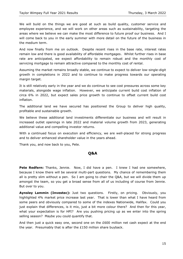We will build on the things we are good at such as build quality, customer service and employee experience, and we will work on other areas such as sustainability, targeting the areas where we believe we can make the most difference to future proof our business. And I will come back to you in the early summer with more detail on the future of the business in the medium term.

And now finally from me on outlook. Despite recent rises in the base rate, interest rates remain low and there is good availability of affordable mortgages. Whilst further rises in base rate are anticipated, we expect affordability to remain robust and the monthly cost of servicing mortgage to remain attractive compared to the monthly cost of rental.

Assuming the market remains broadly stable, we continue to expect to deliver low-single-digit growth in completions in 2022 and to continue to make progress towards our operating margin target.

It is still relatively early in the year and we do continue to see cost pressures across some key materials, alongside wage inflation. However, we anticipate current build cost inflation of circa 6% in 2022, but expect sales price growth to continue to offset current build cost inflation.

The additional land we have secured has positioned the Group to deliver high quality, profitable and sustainable growth.

We believe these additional land investments differentiate our business and will result in increased outlet openings in late 2022 and material volume growth from 2023, generating additional value and compelling investor returns.

With a continued focus on execution and efficiency, we are well-placed for strong progress and to deliver enhanced shareholder value in the years ahead.

Thank you, and now back to you, Pete.

#### **Q&A**

Pete Redfern: Thanks, Jennie. Now, I did have a pen. I knew I had one somewhere, because I know there will be several multi-part questions. My chance of remembering them all is pretty slim without a pen. So I am going to chair the Q&A, but we will divide them up amongst the team, so you get a broad sense from all of us including of course from Jennie. But over to you.

**Aynsley Lammin (Investec):** Just two questions. Firstly, on pricing. Obviously, you highlighted 4% market price increase last year. That is lower than what I have heard from some peers and obviously compared to some of the indexes Nationwide, Halifax. Could you just explain that differences, is it mix, just a bit more colour there? And then for this year, what your expectation is for HPI? Are you pushing pricing up as we enter into the spring selling season? Maybe you could quantify that.

And then just a quick easy one, second one on the £600 million net cash expect at the end the year. Presumably that is after the £150 million share buyback.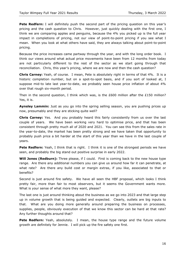**Pete Redfern:** I will definitely push the second part of the pricing question on this year's pricing and the cash question to Chris. However, just quickly dealing with the first one, I think we are comparing apples and penguins, because the 4% you picked up is the full year impact in completions of pricing, not our view of point-to-point pricing if you see what I mean. When you look at what others have said, they are always talking about point-to-point pricing.

Because the price increases came partway through the year, and with the long order book. I think our views around what actual price movements have been from 12 months from today are not particularly different to the rest of the sector as we start going through that reconciliation. Chris, this year's pricing, where we are now and then the cash question?

**Chris Carney:** Yeah, of course. I mean, Pete is absolutely right in terms of that 4%. It is a historic completion number, but on a spot-to-spot basis, and if you sort of looked at, I suppose mid-to late last year-to-date, we probably seen house price inflation of about 4% over that rough six-month period.

Then in the second question, I think which was, is the £600 million after the £150 million? Yes, it is.

**Aynsley Lammin:** Just as you go into the spring selling season, you are pushing prices up now, presumably and they are sticking quite well?

**Chris Carney:** Yes. And you probably heard this fairly consistently from us over the last couple of years. We have been working very hard to optimise price, and that has been consistent through pretty much all of 2020 and 2021. You can see this from the sales rate in the year-to-date, the market has been pretty strong and we have taken that opportunity to probably push price a bit harder at the start of this year than we have in the last couple of years.

**Pete Redfern:** Yeah, I think that is right. I think it is one of the strongest periods we have seen, and probably the big stand out positive surprise in early 2022.

**Will Jones (Redburn):** Three please, if I could. First is coming back to the new house type range. Are there any additional numbers you can give us around how far it can penetrate, at what rate? Are there any build cost or margin extras, if you like, associated to that or benefits?

Second is just around fire safety. We have all seen the HBF proposal, which looks I think pretty fair, more than fair to most observers, but it seems the Government wants more. What is your sense of what more they want, please?

The last one is just around thinking about the business as we go into 2023 and that large step up in volume growth that is being guided and expected. Clearly, outlets are big inputs to that. What are you doing more generally around preparing the business on processes, supplies, people, obviously execution of that we know this sector can be hard at that rate? Any further thoughts around that?

**Pete Redfern:** Yeah, absolutely. I mean, the house type range and the future volume growth are definitely for Jennie. I will pick up the fire safety one first.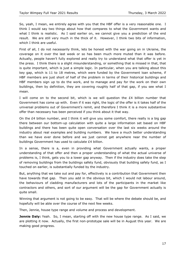So, yeah, I mean, we entirely agree with you that the HBF offer is a very reasonable one. I think I would say two things about how that compares to what the Government wants and what I think is realistic. As I said earlier on, we cannot give you a prediction of the end result. We are still very much in the thick of it. However, I think two bits of information, which I think are useful.

First of all, I do not necessarily think, lets be honest with the war going on in Ukraine, the coverage on it over the last week or so has been much more muted than it was before. Actually, people haven't fully explored and really try to understand what that offer is yet in the press. I think there is a slight misunderstanding, or something that is missed in that, that is quite important, which is just a simple logic. In particular, when you are talking about this key gap, which is 11 to 18 metres, which were funded by the Government loan scheme, if HBF members are just short of half of the problem in terms of their historical buildings and HBF members sign up to do the work, and to manage and pay for the work on their own buildings, then by definition, they are covering roughly half of that gap, if you see what I mean.

I will come on to the second bit, which is we will question the  $E4$  billion number that Government has come up with. Even if it was right, the logic of the offer is it takes half of the universal problems out of Government's remit, and therefore I think it is a more substantive offer than necessary has been perceived if you think about it that way.

On the £4 billion number, and I think it will give you some comfort, there really is a big gap there between our bottom-up calculation with quite a large information set based on HBF buildings and there has been quite open conversation over the last six weeks around the industry about real examples and building numbers. We have a much better understanding than we have ever done before and we just cannot get anywhere near the number of buildings Government has used to calculate £4 billion.

In a sense, there is a, even in providing what Government actually wants, a proper understanding of that offer and then a proper understanding of what the actual universe of problems is, I think, gets you to a lower gap anyway. Then if the industry does take the step of removing buildings from the buildings safety fund, obviously that building safety fund, as I touched on earlier, is substantially funded by the industry.

But, anything that we take out and pay for, effectively is a contribution that Government then have towards that gap. Then you add in the obvious bit, which I would not labour around, the behaviours of cladding manufacturers and lots of the participants in the market like contractors and others, and sort of our argument will be the gap for Government actually is quite small.

Winning that argument is not going to be easy. That will be where the debate should be, and hopefully will be able over the course of the next few weeks.

Then, Jennie, house type range and volume and process and development.

**Jennie Daly:** Yeah. So, I mean, starting off with the new house type range. As I said, we are plotting it now. Actually, the first non-prototype sale will be in August this year. We are making good progress.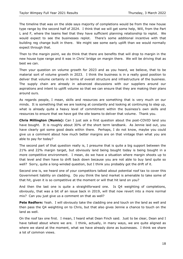The timeline that was on the slide says majority of completions would be from the new house type range by the second half of 2024. I think that we will get some help, Will, from the Part L and F, where the teams feel that they have sufficient planning relationship to replot. We would expect to see the businesses replot. There's some additional incentive with that building reg change built in there. We might see some early uplift than we would normally expect through that.

Then to the margin point, we do think that there are benefits that will drop to margin in the new house type range and it was in Chris' bridge on margin there. We will be driving that as best we can.

Then your question on volume growth for 2023 and as you heard, we believe, that to be material sort of volume growth in 2023. I think the business is in a really good position to deliver that volume certainly in terms of overall structure and infrastructure of the business. The supply chain are already in advanced discussions with our suppliers around our aspirations and intent to uplift volume so that we can ensure that they are making their plans around ours.

As regards people, I mean, skills and resources are something that is very much on our minds. It is something that we are looking at constantly and looking at continuing to step up, what is already quite a heavy level of commitment within the business's own skills and resources to ensure that we have got the site teams to deliver that volume. Thank you.

**Chris Millington (Numis):** Can I just ask a first question about the post-COVID land you have bought. It is roughly about 30% of the short term landbank. As Jennie laid out, you have clearly got some good deals within there. Perhaps, I do not know, maybe you could give us a comment about how much better margins are on that vintage than what you are able to pay for today?

The second part of that question really is, I presume that is quite a big support between the 21% and 22% margin target, but obviously land being bought today is being bought in a more competitive environment. I mean, do we have a situation where margin shoots up to that level and then have to drift back down because you are not able to buy land quite so well? Sorry, quite a long-winded question, but I think you probably got the drift of it.

Second one is, we heard one of your competitors talked about potential roof tax to cover this Government liability on cladding. Do you think the land market is amenable to take some of that hit, given it is so competitive at the moment or will that hit land on you?

And then the last one is quite a straightforward one. Is Q4 weighting of completions, obviously, that was a bit of an issue back in 2019, will that now revert into a more normal mix? Can you just give us a comment on that as well?

**Pete Redfern:** Yeah. I will obviously take the cladding one and touch on the land as well and then pass the Q4 weighting on to Chris, but that also gives Jennie a chance to touch on the land as well.

On the roof tax one first. I mean, I heard what Dean Finch said. Just to be clear, Dean and I have talked about where we are. I think, actually, in many ways, we are quite aligned as where we stand at the moment, what we have already done as businesses. I think we share a lot of common views.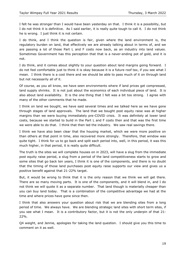I felt he was stronger than I would have been yesterday on that. I think it is a possibility, but I do not think it is definitive. As I said earlier, it is really quite tough to call it. I do not think he is wrong. I just think it is not certain.

I do think, and I think the question is fair, given where the land environment is, the regulatory burden on land, that effectively we are already talking about in terms of, and we are passing a lot of those Part L and F costs now back, as an industry into land values. Sometimes Government has this perception that that is a never-ending pot of gold, and it is not.

I do think, and it comes about slightly to your question about land margins going forward. I do not feel comfortable just to think it is okay because it is a future roof tax, if you see what I mean. I think there is a cost there and we should be able to pass much of it on through land but not necessarily all of it.

Of course, as you all know, we have seen environments where if land prices get compressed, land supply shrinks. It is not just about the economics of each individual piece of land. It is also about land availability. It is the one thing that I felt was a bit too strong. I agree with many of the other comments that he made.

I think on land we bought, we have said several times and we talked here as we have gone through stages of land approvals. The land that we bought post equity raise was at higher margins than we were buying immediately pre-COVID crisis. It was definitely at lower land costs, because we started to build in the Part L and F costs then and that was the first time we were able to do that. I think that then led the industry. We saw real savings there.

I think we have also been clear that the housing market, which we were more positive on than others at that point in time, also recovered more strongly. Therefore, that window was quite tight. I think for us to go back and split each period into, well, in this period, it was this much higher, in that period, it is really quite difficult.

The truth is the sites we will complete houses on in 2023, will have a slug from the immediate post equity raise period, a slug from a period of the land competitiveness starts to grow and some sites that go back ten years, I think it is one of the components, and there is no doubt that the timing of those land purchases post equity raise supports our view and gives us a positive benefit against that 21-22% target.

But, it would be wrong to think that it is the only reason that we think we will get there. There are so many moving parts. It is one of the components, and it will blend in, and I do not think we will quote it as a separate number. That land though is materially cheaper than you can buy land today. That is a combination of the competitive advantage we had at the time and where prices have gone since then.

I think that also answers your question about risk that we are blending sites from a long period of time. We always have. We are blending strategic land sites with short term sites, if you see what I mean. It is a contributory factor, but it is not the only underpin of that 21- 22%.

Q4 weight, and Jennie, apologies for taking the land question. I should give you this time to comment on it as well.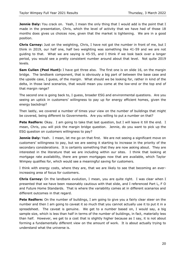**Jennie Daly:** You crack on. Yeah, I mean the only thing that I would add is the point that I made in the presentation, Chris, which the level of activity that we have had of those 18 months does gives us choices now, given that the market is tightening. We are in a good position.

**Chris Carney:** Just on the weighting, Chris, I have not got the number in front of me, but I think in 2019, our half one, half two weighting was something like 41-59 and we are not guiding to that. What we are saying is 45-55, and I think if we look back over a longer period, you would see a pretty consistent number around about that level. Not quite 2019 levels.

**Sam Cullen (Peel Hunt):** I have got three also. The first one is on slide 16, on the margin bridge. The landbank component, that is obviously a big part of between the base case and the upside case, I guess, of the margin. What should we be looking for, rather in kind of the delta, in those land scenarios, that would mean you come at the low-end or the top end of that margin range?

The second one is going back to, I guess, broader ESG and environmental questions. Are you seeing an uptick in customers' willingness to pay up for energy efficient homes, given the energy backdrop?

Then lastly, we covered a number of times your view on the number of buildings that might be covered, being different to Governments. Are you willing to put a number on that?

**Pete Redfern:** Okay. I am going to take that last question, but I will leave it till the end. I mean, Chris, you will pick the margin bridge question. Jennie, do you want to pick up the ESG question on customers willingness to pay?

**Jennie Daly:** Yeah. I mean, let me go on that first. We are not seeing a significant move on customers' willingness to pay, but we are seeing it starting to increase in the priority of the secondary considerations. It is certainly something that they are now asking about. They are interested in the literature that we are including within our sites. I think that looking at mortgage rate availability, there are green mortgages now that are available, which Taylor Wimpey qualifies for, which would see a meaningful saving for customers.

I think with energy costs, where they are, that we are likely to see that becoming an everincreasing area of focus for customers.

**Chris Carney:** On the landbank evolution, I mean, you are quite right. I was clear when I presented that we have been reasonably cautious with that slide, and I referenced Part L, F O and Future Home Standards. That is where the variability comes at in different scenarios and different outcomes in that regard.

**Pete Redfern:** On the number of buildings, I am going to give you a fairly clear steer on the number and then I am going to caveat it so much that you cannot actually use it to put it in a spreadsheet. The caveat is genuine. We get to a number based on, I would say, a big sample size, which is less than half in terms of the number of buildings, in fact, materially less than half. However, we get to a cost that is slightly higher because as I say, it is not about forming a fundamentally different view on the amount of work. It is about actually trying to understand what the universe is.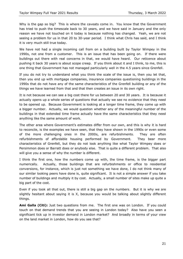Why is the gap so big? This is where the caveats come in. You know that the Government has tried to push the timescale back to 30 years, and we have said in January and the only reason we have not touched on it today is because nothing has changed. Yeah, we are not seeing a problem for us in that 20 to 30-year period. I think what Chris has said, and I think it is very much still true today.

We have not had a single incoming call from on a building built by Taylor Wimpey in the 1990s, not one from a customer. This is an issue that has been going on. If there were buildings out there with real concerns in that, we would have heard. Our reticence about pushing it back 30 years is about scope creep. If you think about it and I think, to me, this is one thing that Government has not managed particularly well in the 4.5 years since Grenfell.

If you do not try to understand what you think the scale of the issue is, then you let that, then you end up with mortgage companies, insurance companies questioning buildings in the 1990s that do not have any of the same characteristics of the Grenfell building or any of the things we have learned from that and that then creates an issue in its own right.

It is not because we can see a big cost there for us between 20 and 30 years. It is because it actually opens up a whole series of questions that actually we see no evidence that they need to be opened up. Because Government is looking at a longer time frame, they come up with a bigger number. Actually, we would question whether any of the meaningful number of the buildings in that extended time frame actually have the same characteristics that they need anything like the same amount of work.

The other area where Government's estimates differ from our own, and this is why it is hard to reconcile, is the examples we have seen, that they have shown in the 1990s or even some of the more challenging ones in the 2000s, are refurbishments. They are often refurbishments of affordable housing performed by Government. They bear more characteristics of Grenfell, but they do not look anything like what Taylor Wimpey does or Persimmon does or Barratt does or anybody else. That is quite a different problem. That also will give you a sense of why the number is different.

I think the first one, how the numbers come up with, the time frame, is the bigger part numerically. Actually, those buildings that are refurbishments or office to residential conversions, for instance, which is just not something we have done, I do not think many of our similar looking peers have done is, quite significant. It is not a simple answer if you take number of buildings and multiply it by cost. Actually, a small number of sites make up quite a big part of the cost.

Even if you took all that out, there is still a big gap on the numbers. But it is why we are slightly hesitant about saying it is X, because you would be talking about slightly different things.

**Ami Galla (Citi):** Just two questions from me. The first one was on London. If you could touch on that demand trends that you are seeing in London today? Also have you seen a significant tick up in investor demand in London market? And broadly in terms of your view on the land market in London, how do you see that?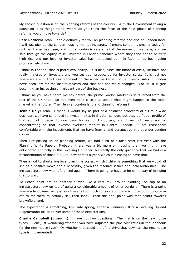My second question is on the planning reforms in the country. With the Government taking a pause on it as things stand, where do you think the focus of the next phase of planning reforms would move towards?

**Pete Redfern:** Yeah. Jennie definitely for you on planning reforms and also on London land. I will just pick up the London housing market investors. I mean, London is smaller today for us than it ever has been, and prime London is very small at the moment. We have, and we said through the equity raise, invested in London schemes where they tend not to be very high rise and our level of investor sales has not ticked up. In fact, it has been going progressively down.

I think in London, that is partly availability. It is also, since the financial crisis, we have not really majored on investors and you set your product up for investor sales. It is just not where we are. I think our comment on the wider market would be investor sales in London have been low for the last four years and that has not really changed. For us, it is just becoming an increasingly irrelevant part of the business.

I think, as you have heard me say before, the prime London market is so divorced from the rest of the UK that I do not even think it tells us about what might happen in the wider market in the future. Then Jennie, London land and planning reforms?

**Jennie Daly:** Yeah. I mean, I would say as part of a balanced scorecard of a Group-wide business, we have continued to invest in sites in Greater London, but they do fit our profile of that sort of broader London base homes for Londoners, and I am not really sort of concentrating on that investor overseas market in Central London. I am reasonably comfortable with the investments that we have from a land perspective in that wider London context.

Then just picking up on planning reform, we had a bit of a false start last year with the Planning White Paper. Probably, there was a bit more on housing than we might have anticipated originally in the Levelling Up paper, but really the only guidance that we had is a reconfirmation of those 300,000 new homes a year, which is pleasing to have that.

Then a nod to shortening local plan time scales, which I think is something that we would all see as a positive move and a necessity, given the resource issues and local authorities. The infrastructure levy was referenced again. There is going to have to be some way of bringing that forward.

To Pete's point around another burden like a roof tax, around cladding, on top of an infrastructure levy on top of quite a considerable amount of other burdens. There is a point where a landowner will just say there is too much to take and there is not enough long-term return for them to actually sell their land. Then the final point was that points towards brownfield land.

The expectation is something, Ami, late spring, either a Planning Bill or a Levelling Up and Regeneration Bill to deliver some of those expectations.

**Charlie Campbell (Liberum):** I have got two questions. The first is on the new house types. I am just wondering whether you have adjusted the plot cost ratios in the landbank for the new house type? Or whether that could therefore drive that down as the new house type is implemented?